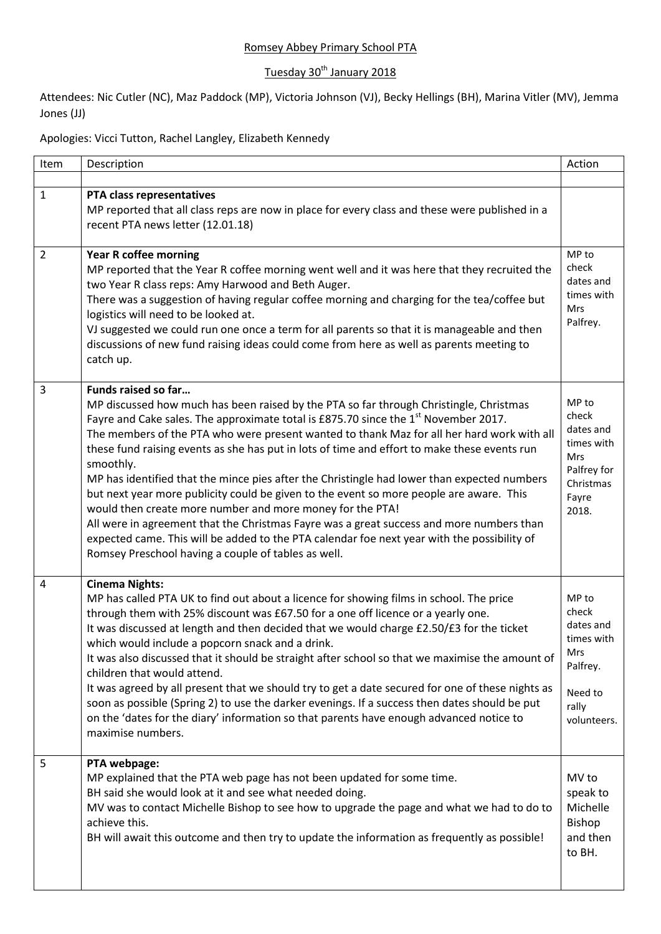## Romsey Abbey Primary School PTA

## Tuesday 30<sup>th</sup> January 2018

Attendees: Nic Cutler (NC), Maz Paddock (MP), Victoria Johnson (VJ), Becky Hellings (BH), Marina Vitler (MV), Jemma Jones (JJ)

Apologies: Vicci Tutton, Rachel Langley, Elizabeth Kennedy

| Item           | Description                                                                                                                                                                                                                                                                                                                                                                                                                                                                                                                                                                                                                                                                                                                                                                                                                                                                                                                          | Action                                                                                          |
|----------------|--------------------------------------------------------------------------------------------------------------------------------------------------------------------------------------------------------------------------------------------------------------------------------------------------------------------------------------------------------------------------------------------------------------------------------------------------------------------------------------------------------------------------------------------------------------------------------------------------------------------------------------------------------------------------------------------------------------------------------------------------------------------------------------------------------------------------------------------------------------------------------------------------------------------------------------|-------------------------------------------------------------------------------------------------|
| $\mathbf{1}$   | PTA class representatives<br>MP reported that all class reps are now in place for every class and these were published in a<br>recent PTA news letter (12.01.18)                                                                                                                                                                                                                                                                                                                                                                                                                                                                                                                                                                                                                                                                                                                                                                     |                                                                                                 |
| $\overline{2}$ | <b>Year R coffee morning</b><br>MP reported that the Year R coffee morning went well and it was here that they recruited the<br>two Year R class reps: Amy Harwood and Beth Auger.<br>There was a suggestion of having regular coffee morning and charging for the tea/coffee but<br>logistics will need to be looked at.<br>VJ suggested we could run one once a term for all parents so that it is manageable and then<br>discussions of new fund raising ideas could come from here as well as parents meeting to<br>catch up.                                                                                                                                                                                                                                                                                                                                                                                                    | MP to<br>check<br>dates and<br>times with<br><b>Mrs</b><br>Palfrey.                             |
| 3              | Funds raised so far<br>MP discussed how much has been raised by the PTA so far through Christingle, Christmas<br>Fayre and Cake sales. The approximate total is £875.70 since the 1 <sup>st</sup> November 2017.<br>The members of the PTA who were present wanted to thank Maz for all her hard work with all<br>these fund raising events as she has put in lots of time and effort to make these events run<br>smoothly.<br>MP has identified that the mince pies after the Christingle had lower than expected numbers<br>but next year more publicity could be given to the event so more people are aware. This<br>would then create more number and more money for the PTA!<br>All were in agreement that the Christmas Fayre was a great success and more numbers than<br>expected came. This will be added to the PTA calendar foe next year with the possibility of<br>Romsey Preschool having a couple of tables as well. | MP to<br>check<br>dates and<br>times with<br>Mrs<br>Palfrey for<br>Christmas<br>Fayre<br>2018.  |
| 4              | <b>Cinema Nights:</b><br>MP has called PTA UK to find out about a licence for showing films in school. The price<br>through them with 25% discount was £67.50 for a one off licence or a yearly one.<br>It was discussed at length and then decided that we would charge £2.50/£3 for the ticket<br>which would include a popcorn snack and a drink.<br>It was also discussed that it should be straight after school so that we maximise the amount of<br>children that would attend.<br>It was agreed by all present that we should try to get a date secured for one of these nights as<br>soon as possible (Spring 2) to use the darker evenings. If a success then dates should be put<br>on the 'dates for the diary' information so that parents have enough advanced notice to<br>maximise numbers.                                                                                                                          | MP to<br>check<br>dates and<br>times with<br>Mrs<br>Palfrey.<br>Need to<br>rally<br>volunteers. |
| 5              | PTA webpage:<br>MP explained that the PTA web page has not been updated for some time.<br>BH said she would look at it and see what needed doing.<br>MV was to contact Michelle Bishop to see how to upgrade the page and what we had to do to<br>achieve this.<br>BH will await this outcome and then try to update the information as frequently as possible!                                                                                                                                                                                                                                                                                                                                                                                                                                                                                                                                                                      | MV to<br>speak to<br>Michelle<br>Bishop<br>and then<br>to BH.                                   |